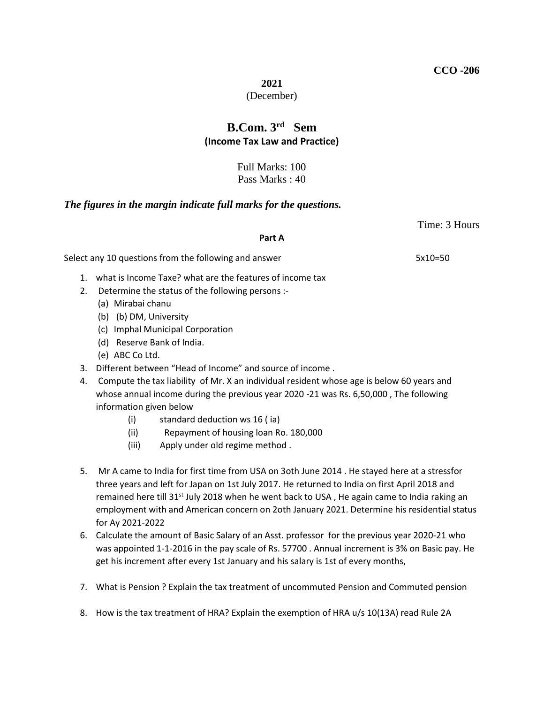**2021**

### (December)

# **B.Com. 3rd Sem (Income Tax Law and Practice)**

Full Marks: 100 Pass Marks : 40

## *The figures in the margin indicate full marks for the questions.*

## **Part A**

Select any 10 questions from the following and answer 5x10=50

- 1. what is Income Taxe? what are the features of income tax
- 2. Determine the status of the following persons :-
	- (a) Mirabai chanu
	- (b) (b) DM, University
	- (c) Imphal Municipal Corporation
	- (d) Reserve Bank of India.
	- (e) ABC Co Ltd.
- 3. Different between "Head of Income" and source of income .
- 4. Compute the tax liability of Mr. X an individual resident whose age is below 60 years and whose annual income during the previous year 2020 -21 was Rs. 6,50,000 , The following information given below
	- (i) standard deduction ws 16 ( ia)
	- (ii) Repayment of housing loan Ro. 180,000
	- (iii) Apply under old regime method .
- 5. Mr A came to India for first time from USA on 3oth June 2014 . He stayed here at a stressfor three years and left for Japan on 1st July 2017. He returned to India on first April 2018 and remained here till 31<sup>st</sup> July 2018 when he went back to USA, He again came to India raking an employment with and American concern on 2oth January 2021. Determine his residential status for Ay 2021-2022
- 6. Calculate the amount of Basic Salary of an Asst. professor for the previous year 2020-21 who was appointed 1-1-2016 in the pay scale of Rs. 57700 . Annual increment is 3% on Basic pay. He get his increment after every 1st January and his salary is 1st of every months,
- 7. What is Pension ? Explain the tax treatment of uncommuted Pension and Commuted pension
- 8. How is the tax treatment of HRA? Explain the exemption of HRA u/s 10(13A) read Rule 2A

Time: 3 Hours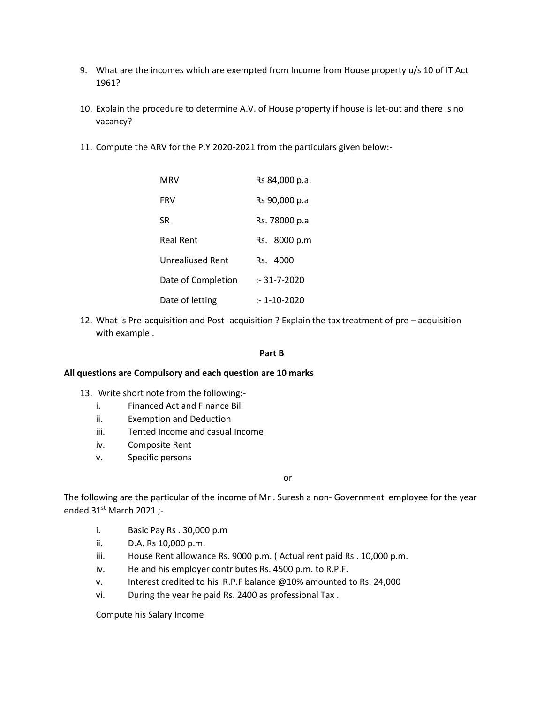- 9. What are the incomes which are exempted from Income from House property u/s 10 of IT Act 1961?
- 10. Explain the procedure to determine A.V. of House property if house is let-out and there is no vacancy?
- 11. Compute the ARV for the P.Y 2020-2021 from the particulars given below:-

| MRV                | Rs 84,000 p.a.    |  |
|--------------------|-------------------|--|
| <b>FRV</b>         | Rs 90,000 p.a     |  |
| SR                 | Rs. 78000 p.a     |  |
| <b>Real Rent</b>   | 8000 p.m<br>Rs.   |  |
| Unrealiused Rent   | Rs. 4000          |  |
| Date of Completion | $: 31 - 7 - 2020$ |  |
| Date of letting    | :- 1-10-2020      |  |

12. What is Pre-acquisition and Post- acquisition ? Explain the tax treatment of pre – acquisition with example .

#### **Part B**

#### **All questions are Compulsory and each question are 10 marks**

- 13. Write short note from the following:
	- i. Financed Act and Finance Bill
	- ii. Exemption and Deduction
	- iii. Tented Income and casual Income
	- iv. Composite Rent
	- v. Specific persons

or

The following are the particular of the income of Mr . Suresh a non- Government employee for the year ended  $31<sup>st</sup>$  March 2021 ;-

- i. Basic Pay Rs . 30,000 p.m
- ii. D.A. Rs 10,000 p.m.
- iii. House Rent allowance Rs. 9000 p.m. ( Actual rent paid Rs . 10,000 p.m.
- iv. He and his employer contributes Rs. 4500 p.m. to R.P.F.
- v. Interest credited to his R.P.F balance @10% amounted to Rs. 24,000
- vi. During the year he paid Rs. 2400 as professional Tax .

Compute his Salary Income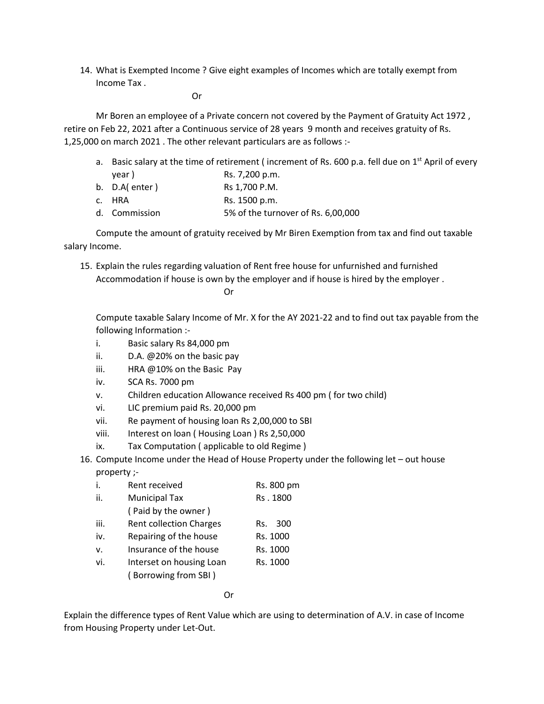14. What is Exempted Income ? Give eight examples of Incomes which are totally exempt from Income Tax .

Or

Mr Boren an employee of a Private concern not covered by the Payment of Gratuity Act 1972 , retire on Feb 22, 2021 after a Continuous service of 28 years 9 month and receives gratuity of Rs. 1,25,000 on march 2021 . The other relevant particulars are as follows :-

a. Basic salary at the time of retirement (increment of Rs. 600 p.a. fell due on  $1<sup>st</sup>$  April of every  $\frac{1}{2}$ 

| year r           | D. 1,200 p.111.                    |
|------------------|------------------------------------|
| b. $D.A$ (enter) | Rs 1,700 P.M.                      |
| c. HRA           | Rs. 1500 p.m.                      |
| d. Commission    | 5% of the turnover of Rs. 6,00,000 |

Compute the amount of gratuity received by Mr Biren Exemption from tax and find out taxable salary Income.

15. Explain the rules regarding valuation of Rent free house for unfurnished and furnished Accommodation if house is own by the employer and if house is hired by the employer .

Or

Compute taxable Salary Income of Mr. X for the AY 2021-22 and to find out tax payable from the following Information :-

- i. Basic salary Rs 84,000 pm
- ii. D.A. @20% on the basic pay
- iii. HRA @10% on the Basic Pay
- iv. SCA Rs. 7000 pm
- v. Children education Allowance received Rs 400 pm ( for two child)
- vi. LIC premium paid Rs. 20,000 pm
- vii. Re payment of housing loan Rs 2,00,000 to SBI
- viii. Interest on loan ( Housing Loan ) Rs 2,50,000
- ix. Tax Computation ( applicable to old Regime )
- 16. Compute Income under the Head of House Property under the following let out house property ;-

| i.   | Rent received                                    | Rs. 800 pm |
|------|--------------------------------------------------|------------|
| ii.  | <b>Municipal Tax</b>                             | Rs. 1800   |
|      | (Paid by the owner)                              |            |
| iii. | <b>Rent collection Charges</b>                   | 300<br>Rs. |
| iv.  | Repairing of the house                           | Rs. 1000   |
| v.   | Insurance of the house                           | Rs. 1000   |
| vi.  | Interset on housing Loan<br>(Borrowing from SBI) | Rs. 1000   |
|      |                                                  |            |

Or

Explain the difference types of Rent Value which are using to determination of A.V. in case of Income from Housing Property under Let-Out.